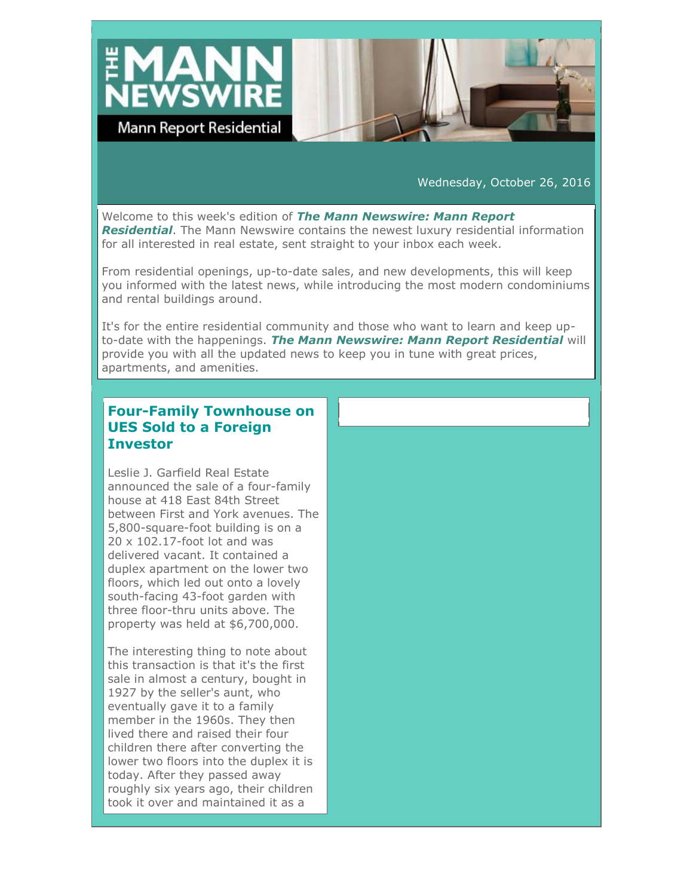

Wednesday, October 26, 2016

Welcome to this week's edition of *The Mann Newswire: Mann Report Residential*. The Mann Newswire contains the newest luxury residential information for all interested in real estate, sent straight to your inbox each week.

From residential openings, up-to-date sales, and new developments, this will keep you informed with the latest news, while introducing the most modern condominiums and rental buildings around.

It's for the entire residential community and those who want to learn and keep upto-date with the happenings. *The Mann Newswire: Mann Report Residential* will provide you with all the updated news to keep you in tune with great prices, apartments, and amenities.

#### **Four-Family Townhouse on UES Sold to a Foreign Investor**

Leslie J. Garfield Real Estate announced the sale of a four-family house at 418 East 84th Street between First and York avenues. The 5,800-square-foot building is on a 20 x 102.17-foot lot and was delivered vacant. It contained a duplex apartment on the lower two floors, which led out onto a lovely south-facing 43-foot garden with three floor-thru units above. The property was held at \$6,700,000.

The interesting thing to note about this transaction is that it's the first sale in almost a century, bought in 1927 by the seller's aunt, who eventually gave it to a family member in the 1960s. They then lived there and raised their four children there after converting the lower two floors into the duplex it is today. After they passed away roughly six years ago, their children took it over and maintained it as a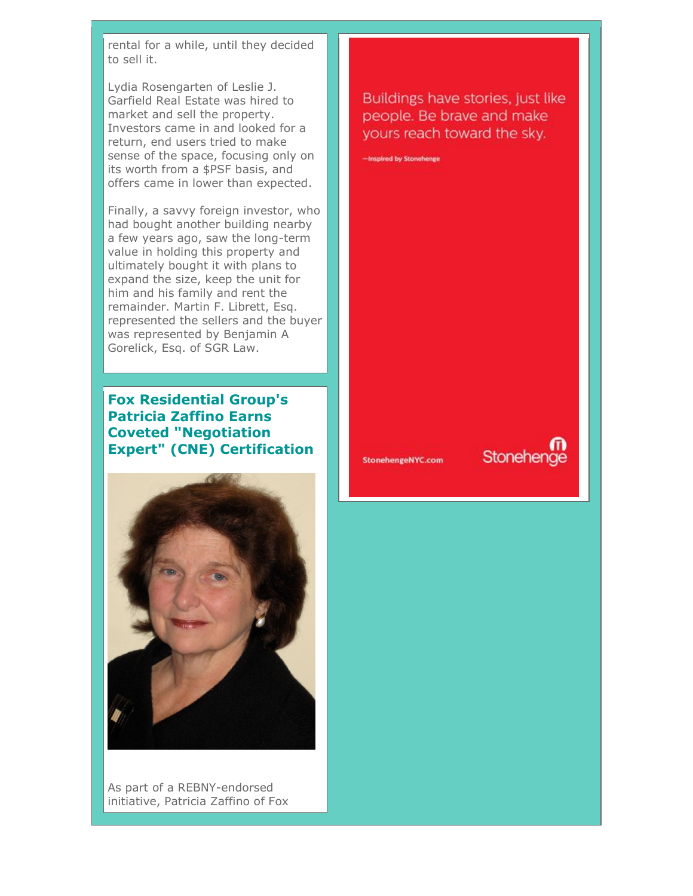rental for a while, until they decided to sell it.

Lydia Rosengarten of Leslie J. Garfield Real Estate was hired to market and sell the property. Investors came in and looked for a return, end users tried to make sense of the space, focusing only on its worth from a \$PSF basis, and offers came in lower than expected.

Finally, a savvy foreign investor, who had bought another building nearby a few years ago, saw the long-term value in holding this property and ultimately bought it with plans to expand the size, keep the unit for him and his family and rent the remainder. Martin F. Librett, Esq. represented the sellers and the buyer was represented by Benjamin A Gorelick, Esq. of SGR Law.

## **Fox Residential Group's Patricia Zaffino Earns Coveted "Negotiation Expert" (CNE) Certification**



As part of a REBNY-endorsed initiative, Patricia Zaffino of Fox Buildings have stories, just like people. Be brave and make yours reach toward the sky.

-Inspired by Stonehenge

#### StonehengeNYC.com

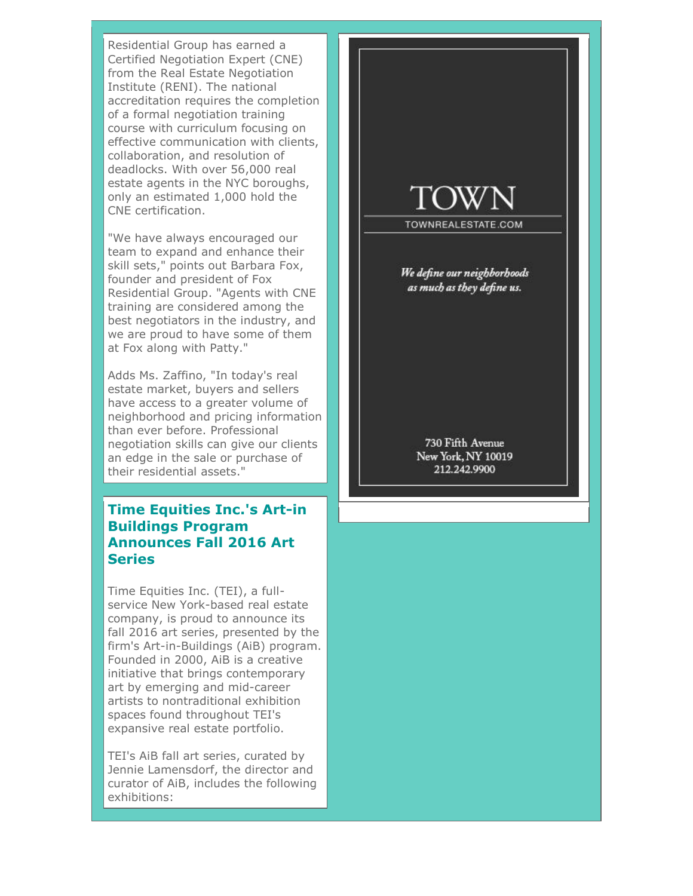Residential Group has earned a Certified Negotiation Expert (CNE) from the Real Estate Negotiation Institute (RENI). The national accreditation requires the completion of a formal negotiation training course with curriculum focusing on effective communication with clients, collaboration, and resolution of deadlocks. With over 56,000 real estate agents in the NYC boroughs, only an estimated 1,000 hold the CNE certification.

"We have always encouraged our team to expand and enhance their skill sets," points out Barbara Fox, founder and president of Fox Residential Group. "Agents with CNE training are considered among the best negotiators in the industry, and we are proud to have some of them at Fox along with Patty."

Adds Ms. Zaffino, "In today's real estate market, buyers and sellers have access to a greater volume of neighborhood and pricing information than ever before. Professional negotiation skills can give our clients an edge in the sale or purchase of their residential assets."

#### **Time Equities Inc.'s Art-in Buildings Program Announces Fall 2016 Art Series**

Time Equities Inc. (TEI), a fullservice New York-based real estate company, is proud to announce its fall 2016 art series, presented by the firm's Art-in-Buildings (AiB) program. Founded in 2000, AiB is a creative initiative that brings contemporary art by emerging and mid-career artists to nontraditional exhibition spaces found throughout TEI's expansive real estate portfolio.

TEI's AiB fall art series, curated by Jennie Lamensdorf, the director and curator of AiB, includes the following exhibitions:



212.242.9900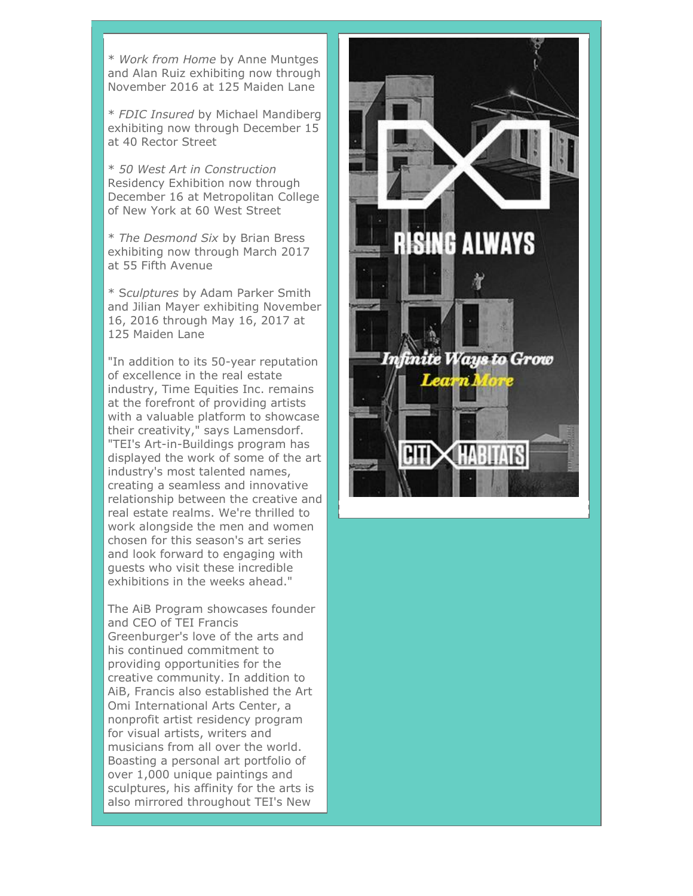\* *Work from Home* by Anne Muntges and Alan Ruiz exhibiting now through November 2016 at 125 Maiden Lane

\* *FDIC Insured* by Michael Mandiberg exhibiting now through December 15 at 40 Rector Street

\* *50 West Art in Construction* Residency Exhibition now through December 16 at Metropolitan College of New York at 60 West Street

\* *The Desmond Six* by Brian Bress exhibiting now through March 2017 at 55 Fifth Avenue

\* S*culptures* by Adam Parker Smith and Jilian Mayer exhibiting November 16, 2016 through May 16, 2017 at 125 Maiden Lane

"In addition to its 50-year reputation of excellence in the real estate industry, Time Equities Inc. remains at the forefront of providing artists with a valuable platform to showcase their creativity," says Lamensdorf. "TEI's Art-in-Buildings program has displayed the work of some of the art industry's most talented names, creating a seamless and innovative relationship between the creative and real estate realms. We're thrilled to work alongside the men and women chosen for this season's art series and look forward to engaging with guests who visit these incredible exhibitions in the weeks ahead."

The AiB Program showcases founder and CEO of TEI Francis Greenburger's love of the arts and his continued commitment to providing opportunities for the creative community. In addition to AiB, Francis also established the Art Omi International Arts Center, a nonprofit artist residency program for visual artists, writers and musicians from all over the world. Boasting a personal art portfolio of over 1,000 unique paintings and sculptures, his affinity for the arts is also mirrored throughout TEI's New

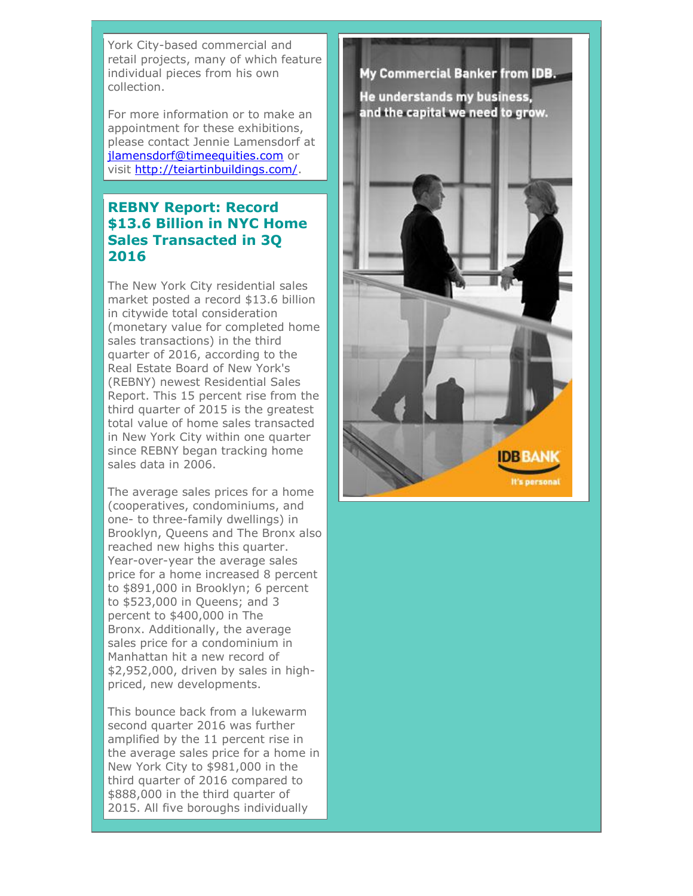York City-based commercial and retail projects, many of which feature individual pieces from his own collection.

For more information or to make an appointment for these exhibitions, please contact Jennie Lamensdorf at [jlamensdorf@timeequities.com](mailto:jlamensdorf@timeequities.com) or visit [http://teiartinbuildings.com/.](http://teiartinbuildings.com/)

#### **REBNY Report: Record \$13.6 Billion in NYC Home Sales Transacted in 3Q 2016**

The New York City residential sales market posted a record \$13.6 billion in citywide total consideration (monetary value for completed home sales transactions) in the third quarter of 2016, according to the Real Estate Board of New York's (REBNY) newest Residential Sales Report. This 15 percent rise from the third quarter of 2015 is the greatest total value of home sales transacted in New York City within one quarter since REBNY began tracking home sales data in 2006.

The average sales prices for a home (cooperatives, condominiums, and one- to three-family dwellings) in Brooklyn, Queens and The Bronx also reached new highs this quarter. Year-over-year the average sales price for a home increased 8 percent to \$891,000 in Brooklyn; 6 percent to \$523,000 in Queens; and 3 percent to \$400,000 in The Bronx. Additionally, the average sales price for a condominium in Manhattan hit a new record of \$2,952,000, driven by sales in highpriced, new developments.

This bounce back from a lukewarm second quarter 2016 was further amplified by the 11 percent rise in the average sales price for a home in New York City to \$981,000 in the third quarter of 2016 compared to \$888,000 in the third quarter of 2015. All five boroughs individually

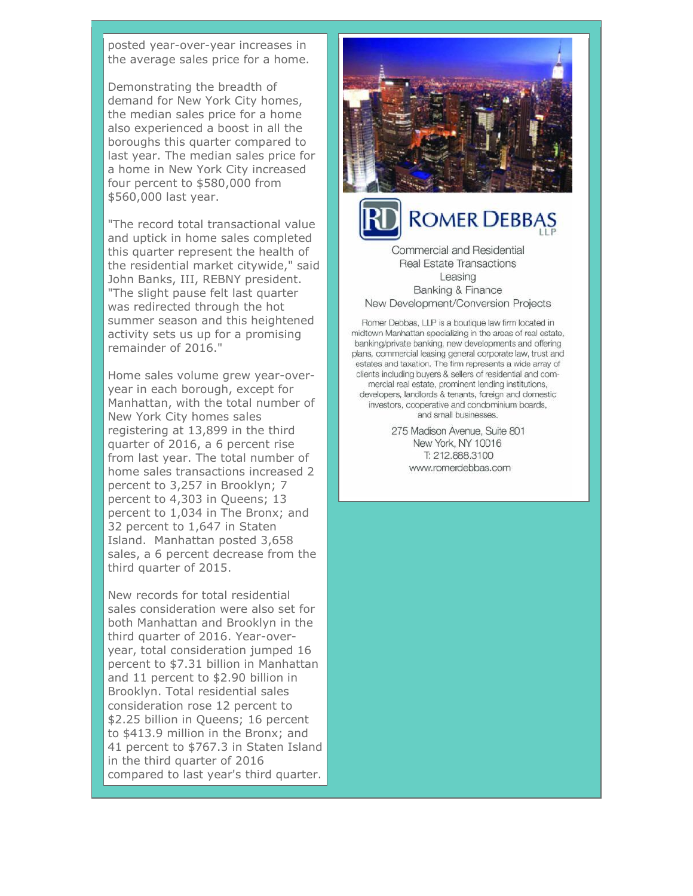posted year-over-year increases in the average sales price for a home.

Demonstrating the breadth of demand for New York City homes, the median sales price for a home also experienced a boost in all the boroughs this quarter compared to last year. The median sales price for a home in New York City increased four percent to \$580,000 from \$560,000 last year.

"The record total transactional value and uptick in home sales completed this quarter represent the health of the residential market citywide," said John Banks, III, REBNY president. "The slight pause felt last quarter was redirected through the hot summer season and this heightened activity sets us up for a promising remainder of 2016."

Home sales volume grew year-overyear in each borough, except for Manhattan, with the total number of New York City homes sales registering at 13,899 in the third quarter of 2016, a 6 percent rise from last year. The total number of home sales transactions increased 2 percent to 3,257 in Brooklyn; 7 percent to 4,303 in Queens; 13 percent to 1,034 in The Bronx; and 32 percent to 1,647 in Staten Island. Manhattan posted 3,658 sales, a 6 percent decrease from the third quarter of 2015.

New records for total residential sales consideration were also set for both Manhattan and Brooklyn in the third quarter of 2016. Year-overyear, total consideration jumped 16 percent to \$7.31 billion in Manhattan and 11 percent to \$2.90 billion in Brooklyn. Total residential sales consideration rose 12 percent to \$2.25 billion in Queens; 16 percent to \$413.9 million in the Bronx; and 41 percent to \$767.3 in Staten Island in the third quarter of 2016 compared to last year's third quarter.





Commercial and Residential Real Estate Transactions Leasing Banking & Finance New Development/Conversion Projects

Romer Debbas, LLP is a boutique law firm located in midtown Manhattan specializing in the areas of real estate, banking/private banking, new developments and offering plans, commercial leasing general corporate law, trust and estates and taxation. The firm represents a wide array of clients including buyers & sellers of residential and commercial real estate, prominent lending institutions, developers, landlords & tenants, foreign and domestic investors, cooperative and condominium boards, and small businesses.

> 275 Madison Avenue, Suite 801 New York, NY 10016 T: 212.888.3100 www.romerdebbas.com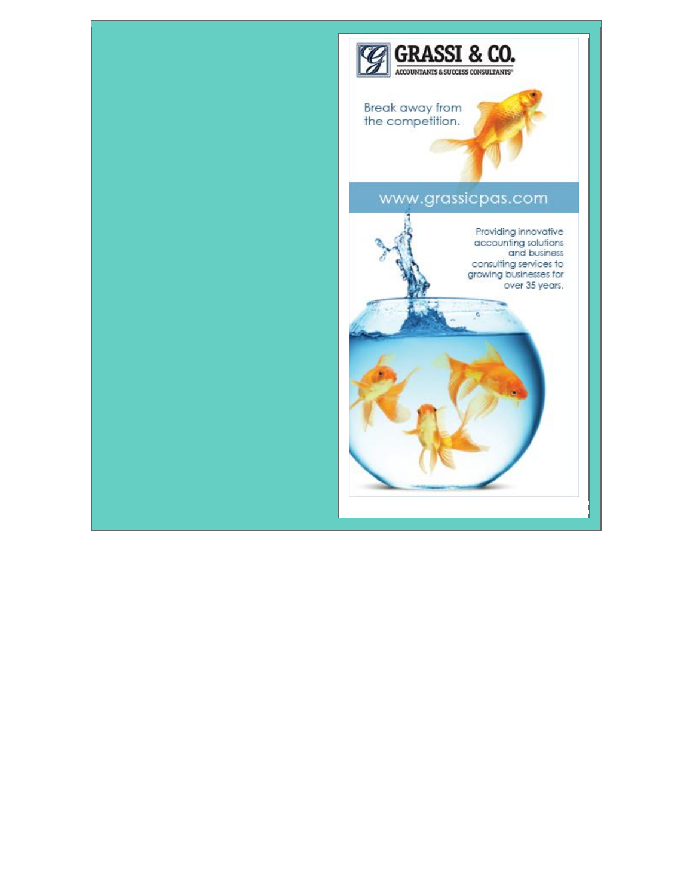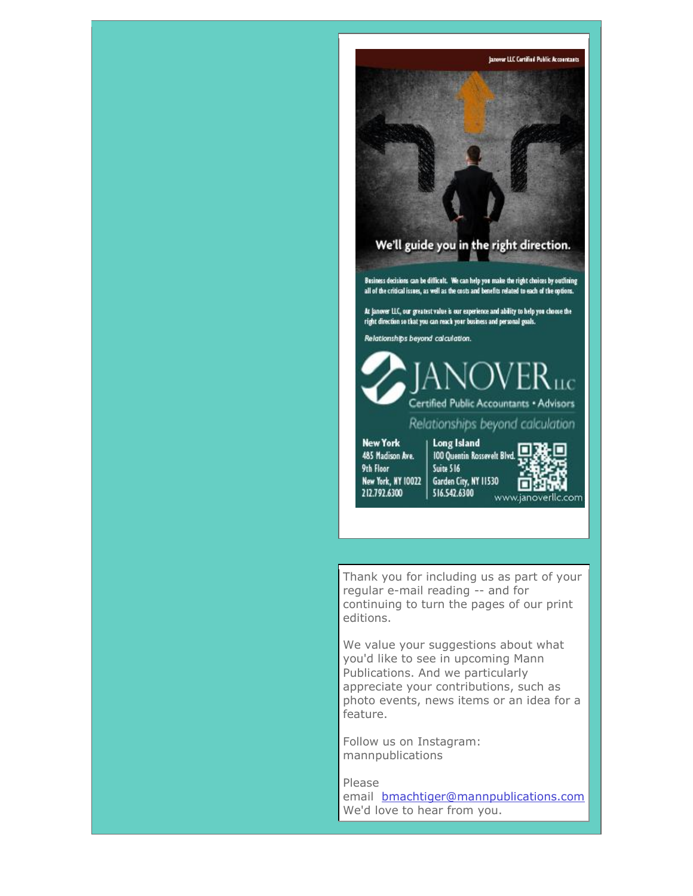## We'll guide you in the right direction.

Business decisions can be difficult. We can help you make the right choices by outlining all of the critical issues, as well as the costs and benefits related to each of the options.

At Janover LLC, our greatest value is our experience and ability to help you choose the<br>right direction so that you can reach your business and personal goals.

Relationships beyond calculation.



**Long Island** 

Suite 516

516.542.6300

#### Relationships beyond calculation

**New York** 485 Madison Ave. 9th Floor New York, NY 10022 212.792.6300

п 100 Quentin Rossevelt Blvd. Garden City, NY 11530 www.janoverllc.com

Thank you for including us as part of your regular e-mail reading -- and for continuing to turn the pages of our print editions.

We value your suggestions about what you'd like to see in upcoming Mann Publications. And we particularly appreciate your contributions, such as photo events, news items or an idea for a feature.

Follow us on Instagram: mannpublications

Please email [bmachtiger@mannpublications.com](mailto:bmachtiger@mannnpublications.com) We'd love to hear from you.